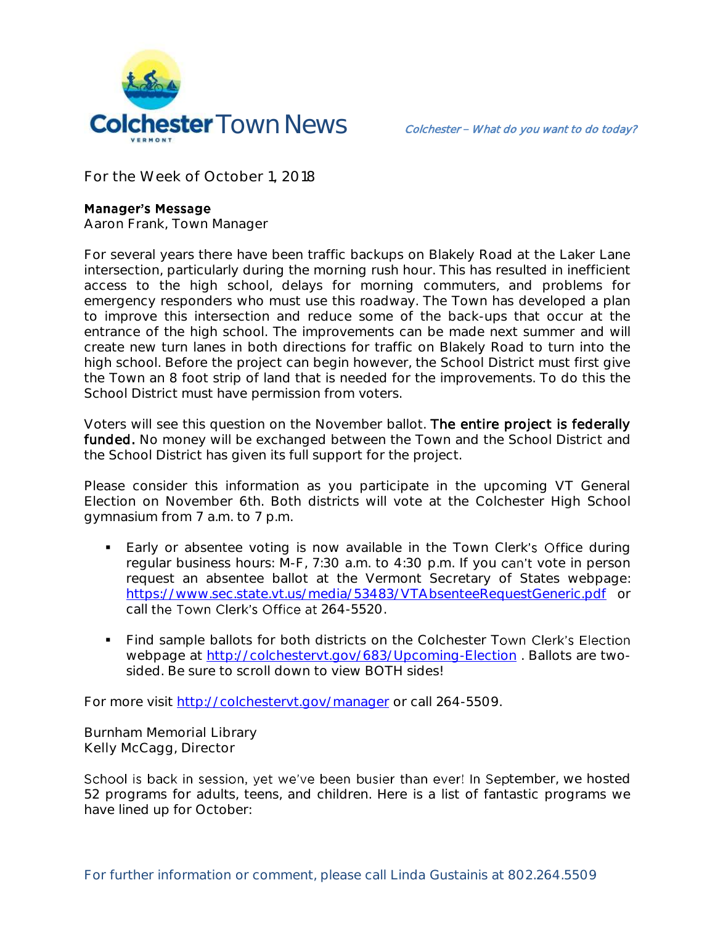

**For the Week of October 1, 2018**

## **Manager's Message**

**Aaron Frank, Town Manager**

For several years there have been traffic backups on Blakely Road at the Laker Lane intersection, particularly during the morning rush hour. This has resulted in inefficient access to the high school, delays for morning commuters, and problems for emergency responders who must use this roadway. The Town has developed a plan to improve this intersection and reduce some of the back-ups that occur at the entrance of the high school. The improvements can be made next summer and will create new turn lanes in both directions for traffic on Blakely Road to turn into the high school. Before the project can begin however, the School District must first give the Town an 8 foot strip of land that is needed for the improvements. To do this the School District must have permission from voters.

Voters will see this question on the November ballot. The entire project is federally funded. No money will be exchanged between the Town and the School District and the School District has given its full support for the project.

Please consider this information as you participate in the upcoming VT General Election on November 6th. Both districts will vote at the Colchester High School gymnasium from 7 a.m. to 7 p.m.

- **Early or absentee voting is now available in the Town Clerk's Office during** regular business hours:  $M-F$ , 7:30 a.m. to 4:30 p.m. If you can't vote in person request an absentee ballot at the Vermont Secretary of States webpage: <https://www.sec.state.vt.us/media/53483/VTAbsenteeRequestGeneric.pdf> or call the Town Clerk's Office at 264-5520.
- Find sample ballots for both districts on the Colchester Town Clerk's Election webpage at<http://colchestervt.gov/683/Upcoming-Election> . Ballots are twosided. Be sure to scroll down to view BOTH sides!

For more visit<http://colchestervt.gov/manager> or call 264-5509.

**Burnham Memorial Library Kelly McCagg, Director**

School is back in session, yet we've been busier than ever! In September, we hosted 52 programs for adults, teens, and children. Here is a list of fantastic programs we have lined up for October: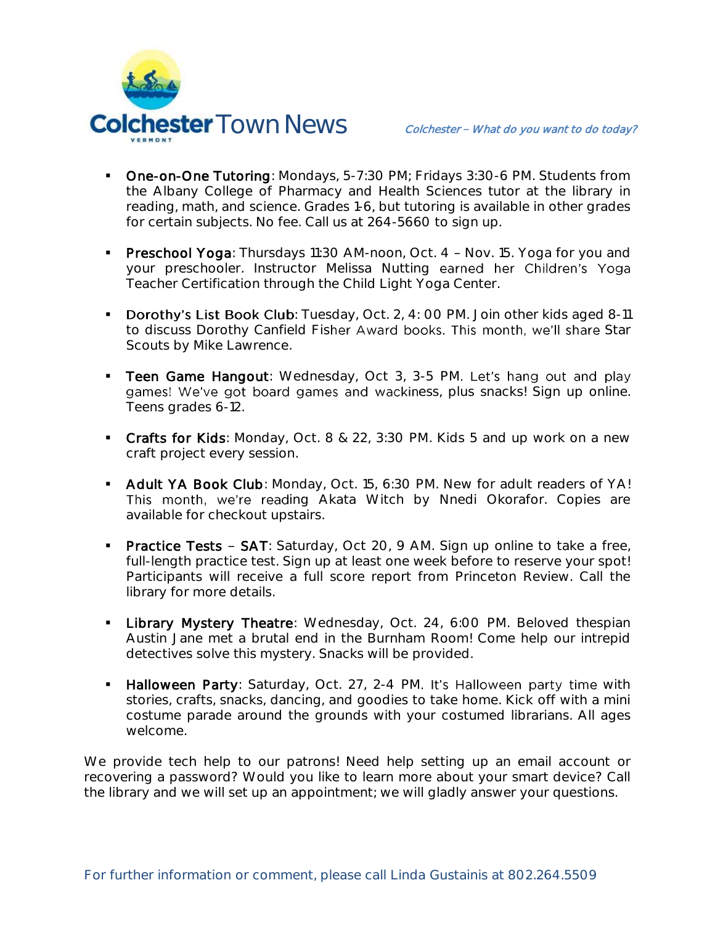

- **Dne-on-One Tutoring**: Mondays, 5-7:30 PM; Fridays 3:30-6 PM. Students from the Albany College of Pharmacy and Health Sciences tutor at the library in reading, math, and science. Grades 1-6, but tutoring is available in other grades for certain subjects. No fee. Call us at 264-5660 to sign up.
- Preschool Yoga: Thursdays 11:30 AM-noon, Oct. 4 Nov. 15. Yoga for you and your preschooler. Instructor Melissa Nutting earned her Children's Yoga Teacher Certification through the Child Light Yoga Center.
- **Dorothy's List Book Club**: Tuesday, Oct. 2, 4: 00 PM. Join other kids aged 8-11 to discuss Dorothy Canfield Fisher Award books. This month, we'll share Star Scouts by Mike Lawrence.
- **Teen Game Hangout:** Wednesday, Oct 3, 3-5 PM. Let's hang out and play games! We've got board games and wackiness, plus snacks! Sign up online. Teens grades 6-12.
- Crafts for Kids: Monday, Oct. 8 & 22, 3:30 PM. Kids 5 and up work on a new craft project every session.
- Adult YA Book Club: Monday, Oct. 15, 6:30 PM. New for adult readers of YA! This month, we're reading Akata Witch by Nnedi Okorafor. Copies are available for checkout upstairs.
- Practice Tests SAT: Saturday, Oct 20, 9 AM. Sign up online to take a free, full-length practice test. Sign up at least one week before to reserve your spot! Participants will receive a full score report from Princeton Review. Call the library for more details.
- **Library Mystery Theatre:** Wednesday, Oct. 24, 6:00 PM. Beloved thespian Austin Jane met a brutal end in the Burnham Room! Come help our intrepid detectives solve this mystery. Snacks will be provided.
- Halloween Party: Saturday, Oct. 27, 2-4 PM. It's Halloween party time with stories, crafts, snacks, dancing, and goodies to take home. Kick off with a mini costume parade around the grounds with your costumed librarians. All ages welcome.

We provide tech help to our patrons! Need help setting up an email account or recovering a password? Would you like to learn more about your smart device? Call the library and we will set up an appointment; we will gladly answer your questions.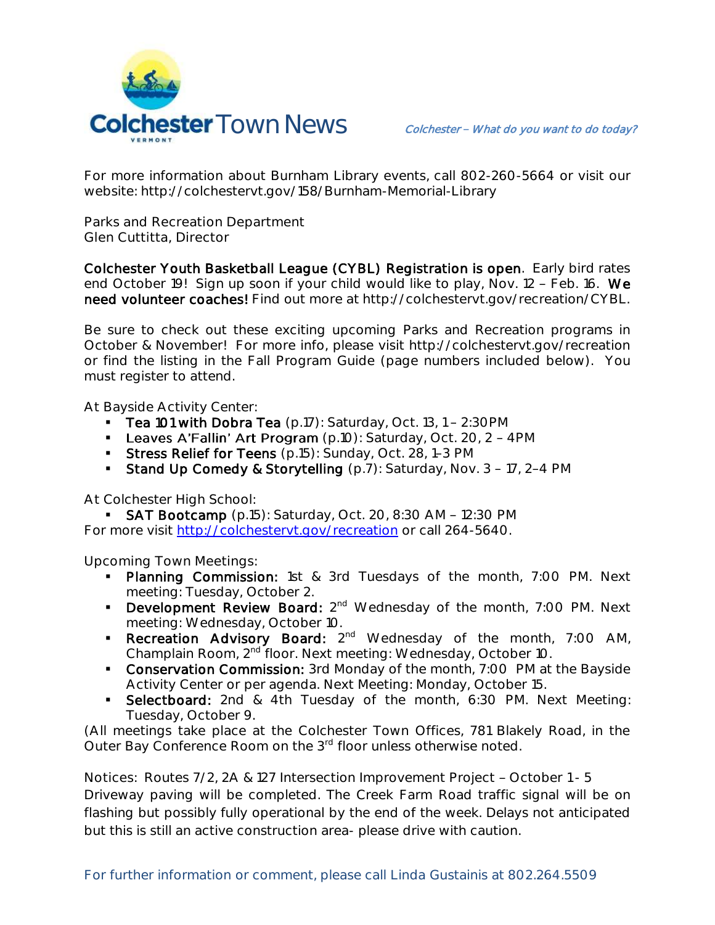

For more information about Burnham Library events, call 802-260-5664 or visit our website: http://colchestervt.gov/158/Burnham-Memorial-Library

**Parks and Recreation Department Glen Cuttitta, Director**

Colchester Youth Basketball League (CYBL) Registration is open. Early bird rates end October 19! Sign up soon if your child would like to play, Nov. 12 - Feb. 16. We need volunteer coaches! Find out more at http://colchestervt.gov/recreation/CYBL.

Be sure to check out these exciting upcoming Parks and Recreation programs in October & November! For more info, please visit http://colchestervt.gov/recreation or find the listing in the Fall Program Guide (page numbers included below). You must register to attend.

At Bayside Activity Center:

- **Tea 101 with Dobra Tea** (p.17): Saturday, Oct. 13, 1 2:30 PM
- **Leaves A'Fallin' Art Program** (p.10): Saturday, Oct. 20, 2 4PM
- Stress Relief for Teens (p.15): Sunday, Oct. 28, 1-3 PM
- Stand Up Comedy & Storytelling  $(p.7)$ : Saturday, Nov. 3 17, 2-4 PM

At Colchester High School:

**SAT Bootcamp** (p.15): Saturday, Oct. 20, 8:30 AM - 12:30 PM For more visit [http://colchestervt.gov/recreation](http://colchestervt.gov/Recreation/parksNRec.shtml) or call 264-5640.

**Upcoming Town Meetings:** 

- Planning Commission: 1st & 3rd Tuesdays of the month, 7:00 PM. Next meeting: Tuesday, October 2.
- Development Review Board: 2<sup>nd</sup> Wednesday of the month, 7:00 PM. Next meeting: Wednesday, October 10.
- Recreation Advisory Board: 2<sup>nd</sup> Wednesday of the month, 7:00 AM, Champlain Room, 2nd floor. Next meeting: Wednesday, October 10.
- Conservation Commission: 3rd Monday of the month, 7:00 PM at the Bayside Activity Center or per agenda. Next Meeting: Monday, October 15.
- **Selectboard:** 2nd & 4th Tuesday of the month, 6:30 PM. Next Meeting: Tuesday, October 9.

(All meetings take place at the Colchester Town Offices, 781 Blakely Road, in the Outer Bay Conference Room on the 3<sup>rd</sup> floor unless otherwise noted.

Notices: Routes 7/2, 2A & 127 Intersection Improvement Project - October 1 - 5 Driveway paving will be completed. The Creek Farm Road traffic signal will be on flashing but possibly fully operational by the end of the week. Delays not anticipated but this is still an active construction area- please drive with caution.